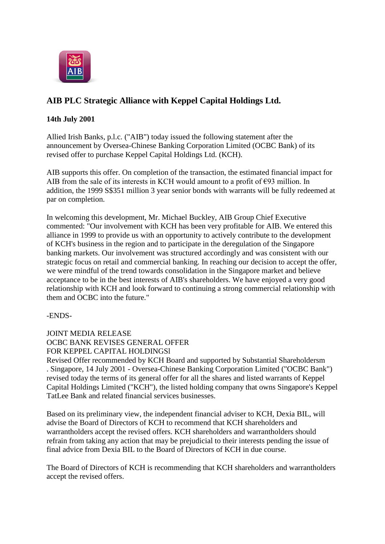

## **AIB PLC Strategic Alliance with Keppel Capital Holdings Ltd.**

## **14th July 2001**

Allied Irish Banks, p.l.c. ("AIB") today issued the following statement after the announcement by Oversea-Chinese Banking Corporation Limited (OCBC Bank) of its revised offer to purchase Keppel Capital Holdings Ltd. (KCH).

AIB supports this offer. On completion of the transaction, the estimated financial impact for AIB from the sale of its interests in KCH would amount to a profit of  $\epsilon$ 93 million. In addition, the 1999 S\$351 million 3 year senior bonds with warrants will be fully redeemed at par on completion.

In welcoming this development, Mr. Michael Buckley, AIB Group Chief Executive commented: "Our involvement with KCH has been very profitable for AIB. We entered this alliance in 1999 to provide us with an opportunity to actively contribute to the development of KCH's business in the region and to participate in the deregulation of the Singapore banking markets. Our involvement was structured accordingly and was consistent with our strategic focus on retail and commercial banking. In reaching our decision to accept the offer, we were mindful of the trend towards consolidation in the Singapore market and believe acceptance to be in the best interests of AIB's shareholders. We have enjoyed a very good relationship with KCH and look forward to continuing a strong commercial relationship with them and OCBC into the future."

-ENDS-

JOINT MEDIA RELEASE OCBC BANK REVISES GENERAL OFFER FOR KEPPEL CAPITAL HOLDINGSl

Revised Offer recommended by KCH Board and supported by Substantial Shareholdersm . Singapore, 14 July 2001 - Oversea-Chinese Banking Corporation Limited ("OCBC Bank") revised today the terms of its general offer for all the shares and listed warrants of Keppel Capital Holdings Limited ("KCH"), the listed holding company that owns Singapore's Keppel TatLee Bank and related financial services businesses.

Based on its preliminary view, the independent financial adviser to KCH, Dexia BIL, will advise the Board of Directors of KCH to recommend that KCH shareholders and warrantholders accept the revised offers. KCH shareholders and warrantholders should refrain from taking any action that may be prejudicial to their interests pending the issue of final advice from Dexia BIL to the Board of Directors of KCH in due course.

The Board of Directors of KCH is recommending that KCH shareholders and warrantholders accept the revised offers.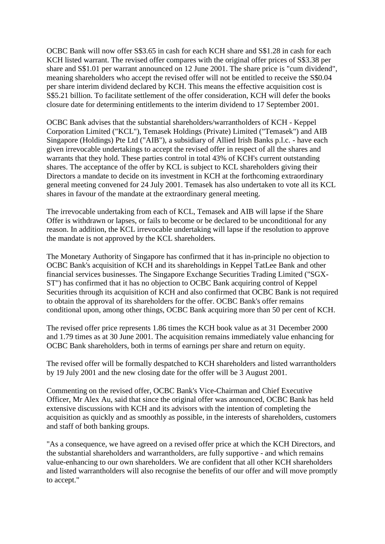OCBC Bank will now offer S\$3.65 in cash for each KCH share and S\$1.28 in cash for each KCH listed warrant. The revised offer compares with the original offer prices of S\$3.38 per share and S\$1.01 per warrant announced on 12 June 2001. The share price is "cum dividend", meaning shareholders who accept the revised offer will not be entitled to receive the S\$0.04 per share interim dividend declared by KCH. This means the effective acquisition cost is S\$5.21 billion. To facilitate settlement of the offer consideration, KCH will defer the books closure date for determining entitlements to the interim dividend to 17 September 2001.

OCBC Bank advises that the substantial shareholders/warrantholders of KCH - Keppel Corporation Limited ("KCL"), Temasek Holdings (Private) Limited ("Temasek") and AIB Singapore (Holdings) Pte Ltd ("AIB"), a subsidiary of Allied Irish Banks p.l.c. - have each given irrevocable undertakings to accept the revised offer in respect of all the shares and warrants that they hold. These parties control in total 43% of KCH's current outstanding shares. The acceptance of the offer by KCL is subject to KCL shareholders giving their Directors a mandate to decide on its investment in KCH at the forthcoming extraordinary general meeting convened for 24 July 2001. Temasek has also undertaken to vote all its KCL shares in favour of the mandate at the extraordinary general meeting.

The irrevocable undertaking from each of KCL, Temasek and AIB will lapse if the Share Offer is withdrawn or lapses, or fails to become or be declared to be unconditional for any reason. In addition, the KCL irrevocable undertaking will lapse if the resolution to approve the mandate is not approved by the KCL shareholders.

The Monetary Authority of Singapore has confirmed that it has in-principle no objection to OCBC Bank's acquisition of KCH and its shareholdings in Keppel TatLee Bank and other financial services businesses. The Singapore Exchange Securities Trading Limited ("SGX-ST") has confirmed that it has no objection to OCBC Bank acquiring control of Keppel Securities through its acquisition of KCH and also confirmed that OCBC Bank is not required to obtain the approval of its shareholders for the offer. OCBC Bank's offer remains conditional upon, among other things, OCBC Bank acquiring more than 50 per cent of KCH.

The revised offer price represents 1.86 times the KCH book value as at 31 December 2000 and 1.79 times as at 30 June 2001. The acquisition remains immediately value enhancing for OCBC Bank shareholders, both in terms of earnings per share and return on equity.

The revised offer will be formally despatched to KCH shareholders and listed warrantholders by 19 July 2001 and the new closing date for the offer will be 3 August 2001.

Commenting on the revised offer, OCBC Bank's Vice-Chairman and Chief Executive Officer, Mr Alex Au, said that since the original offer was announced, OCBC Bank has held extensive discussions with KCH and its advisors with the intention of completing the acquisition as quickly and as smoothly as possible, in the interests of shareholders, customers and staff of both banking groups.

"As a consequence, we have agreed on a revised offer price at which the KCH Directors, and the substantial shareholders and warrantholders, are fully supportive - and which remains value-enhancing to our own shareholders. We are confident that all other KCH shareholders and listed warrantholders will also recognise the benefits of our offer and will move promptly to accept."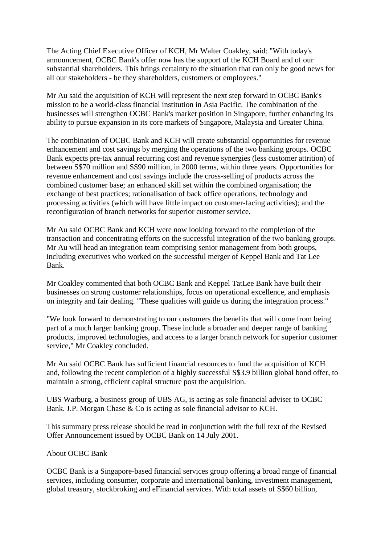The Acting Chief Executive Officer of KCH, Mr Walter Coakley, said: "With today's announcement, OCBC Bank's offer now has the support of the KCH Board and of our substantial shareholders. This brings certainty to the situation that can only be good news for all our stakeholders - be they shareholders, customers or employees."

Mr Au said the acquisition of KCH will represent the next step forward in OCBC Bank's mission to be a world-class financial institution in Asia Pacific. The combination of the businesses will strengthen OCBC Bank's market position in Singapore, further enhancing its ability to pursue expansion in its core markets of Singapore, Malaysia and Greater China.

The combination of OCBC Bank and KCH will create substantial opportunities for revenue enhancement and cost savings by merging the operations of the two banking groups. OCBC Bank expects pre-tax annual recurring cost and revenue synergies (less customer attrition) of between S\$70 million and S\$90 million, in 2000 terms, within three years. Opportunities for revenue enhancement and cost savings include the cross-selling of products across the combined customer base; an enhanced skill set within the combined organisation; the exchange of best practices; rationalisation of back office operations, technology and processing activities (which will have little impact on customer-facing activities); and the reconfiguration of branch networks for superior customer service.

Mr Au said OCBC Bank and KCH were now looking forward to the completion of the transaction and concentrating efforts on the successful integration of the two banking groups. Mr Au will head an integration team comprising senior management from both groups, including executives who worked on the successful merger of Keppel Bank and Tat Lee Bank.

Mr Coakley commented that both OCBC Bank and Keppel TatLee Bank have built their businesses on strong customer relationships, focus on operational excellence, and emphasis on integrity and fair dealing. "These qualities will guide us during the integration process."

"We look forward to demonstrating to our customers the benefits that will come from being part of a much larger banking group. These include a broader and deeper range of banking products, improved technologies, and access to a larger branch network for superior customer service," Mr Coakley concluded.

Mr Au said OCBC Bank has sufficient financial resources to fund the acquisition of KCH and, following the recent completion of a highly successful S\$3.9 billion global bond offer, to maintain a strong, efficient capital structure post the acquisition.

UBS Warburg, a business group of UBS AG, is acting as sole financial adviser to OCBC Bank. J.P. Morgan Chase & Co is acting as sole financial advisor to KCH.

This summary press release should be read in conjunction with the full text of the Revised Offer Announcement issued by OCBC Bank on 14 July 2001.

About OCBC Bank

OCBC Bank is a Singapore-based financial services group offering a broad range of financial services, including consumer, corporate and international banking, investment management, global treasury, stockbroking and eFinancial services. With total assets of S\$60 billion,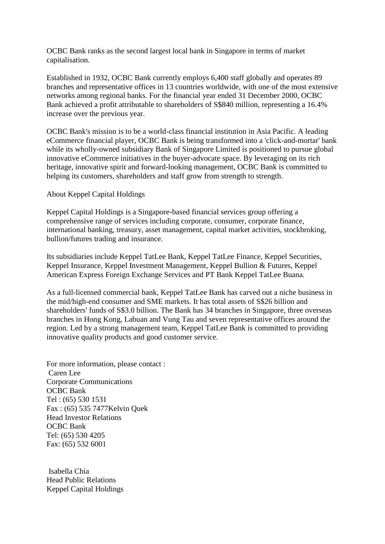OCBC Bank ranks as the second largest local bank in Singapore in terms of market capitalisation.

Established in 1932, OCBC Bank currently employs 6,400 staff globally and operates 89 branches and representative offices in 13 countries worldwide, with one of the most extensive networks among regional banks. For the financial year ended 31 December 2000, OCBC Bank achieved a profit attributable to shareholders of S\$840 million, representing a 16.4% increase over the previous year.

OCBC Bank's mission is to be a world-class financial institution in Asia Pacific. A leading eCommerce financial player, OCBC Bank is being transformed into a 'click-and-mortar' bank while its wholly-owned subsidiary Bank of Singapore Limited is positioned to pursue global innovative eCommerce initiatives in the buyer-advocate space. By leveraging on its rich heritage, innovative spirit and forward-looking management, OCBC Bank is committed to helping its customers, shareholders and staff grow from strength to strength.

## About Keppel Capital Holdings

Keppel Capital Holdings is a Singapore-based financial services group offering a comprehensive range of services including corporate, consumer, corporate finance, international banking, treasury, asset management, capital market activities, stockbroking, bullion/futures trading and insurance.

Its subsidiaries include Keppel TatLee Bank, Keppel TatLee Finance, Keppel Securities, Keppel Insurance, Keppel Investment Management, Keppel Bullion & Futures, Keppel American Express Foreign Exchange Services and PT Bank Keppel TatLee Buana.

As a full-licensed commercial bank, Keppel TatLee Bank has carved out a niche business in the mid/high-end consumer and SME markets. It has total assets of S\$26 billion and shareholders' funds of S\$3.0 billion. The Bank has 34 branches in Singapore, three overseas branches in Hong Kong, Labuan and Vung Tau and seven representative offices around the region. Led by a strong management team, Keppel TatLee Bank is committed to providing innovative quality products and good customer service.

For more information, please contact : Caren Lee Corporate Communications OCBC Bank Tel : (65) 530 1531 Fax : (65) 535 7477Kelvin Quek Head Investor Relations OCBC Bank Tel: (65) 530 4205 Fax: (65) 532 6001

Isabella Chia Head Public Relations Keppel Capital Holdings